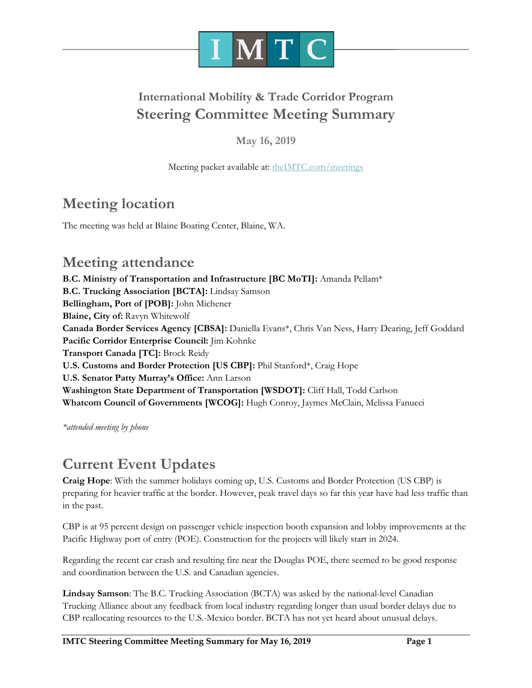

### **International Mobility & Trade Corridor Program Steering Committee Meeting Summary**

**May 16, 2019**

Meeting packet available at: [theIMTC.com/meetings](http://theimtc.com/meetings)

### **Meeting location**

The meeting was held at Blaine Boating Center, Blaine, WA.

### **Meeting attendance**

**B.C. Ministry of Transportation and Infrastructure [BC MoTI]:** Amanda Pellam\* **B.C. Trucking Association [BCTA]:** Lindsay Samson **Bellingham, Port of [POB]:** John Michener **Blaine, City of:** Ravyn Whitewolf **Canada Border Services Agency [CBSA]:** Daniella Evans\*, Chris Van Ness, Harry Dearing, Jeff Goddard **Pacific Corridor Enterprise Council:** Jim Kohnke **Transport Canada [TC]:** Brock Reidy **U.S. Customs and Border Protection [US CBP]:** Phil Stanford\*, Craig Hope **U.S. Senator Patty Murray's Office:** Ann Larson **Washington State Department of Transportation [WSDOT]:** Cliff Hall, Todd Carlson **Whatcom Council of Governments [WCOG]:** Hugh Conroy, Jaymes McClain, Melissa Fanucci

*\*attended meeting by phone*

### **Current Event Updates**

**Craig Hope**: With the summer holidays coming up, U.S. Customs and Border Protection (US CBP) is preparing for heavier traffic at the border. However, peak travel days so far this year have had less traffic than in the past.

CBP is at 95 percent design on passenger vehicle inspection booth expansion and lobby improvements at the Pacific Highway port of entry (POE). Construction for the projects will likely start in 2024.

Regarding the recent car crash and resulting fire near the Douglas POE, there seemed to be good response and coordination between the U.S. and Canadian agencies.

**Lindsay Samson**: The B.C. Trucking Association (BCTA) was asked by the national-level Canadian Trucking Alliance about any feedback from local industry regarding longer than usual border delays due to CBP reallocating resources to the U.S.-Mexico border. BCTA has not yet heard about unusual delays.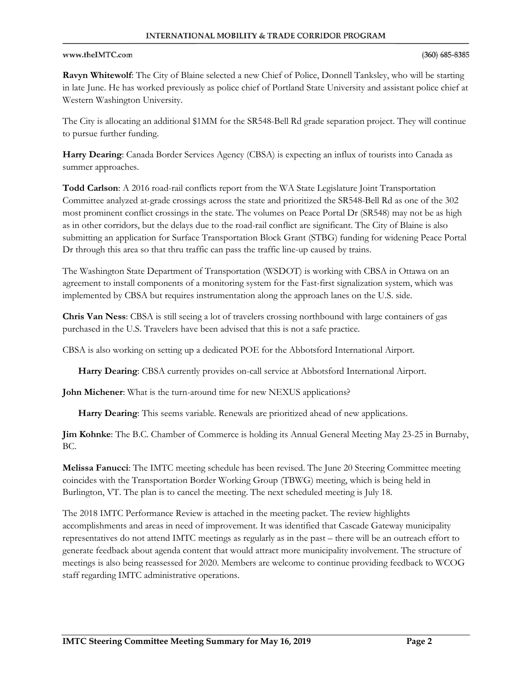### www.theIMTC.com

**Ravyn Whitewolf**: The City of Blaine selected a new Chief of Police, Donnell Tanksley, who will be starting in late June. He has worked previously as police chief of Portland State University and assistant police chief at Western Washington University.

The City is allocating an additional \$1MM for the SR548-Bell Rd grade separation project. They will continue to pursue further funding.

**Harry Dearing**: Canada Border Services Agency (CBSA) is expecting an influx of tourists into Canada as summer approaches.

**Todd Carlson**: A 2016 road-rail conflicts report from the WA State Legislature Joint Transportation Committee analyzed at-grade crossings across the state and prioritized the SR548-Bell Rd as one of the 302 most prominent conflict crossings in the state. The volumes on Peace Portal Dr (SR548) may not be as high as in other corridors, but the delays due to the road-rail conflict are significant. The City of Blaine is also submitting an application for Surface Transportation Block Grant (STBG) funding for widening Peace Portal Dr through this area so that thru traffic can pass the traffic line-up caused by trains.

The Washington State Department of Transportation (WSDOT) is working with CBSA in Ottawa on an agreement to install components of a monitoring system for the Fast-first signalization system, which was implemented by CBSA but requires instrumentation along the approach lanes on the U.S. side.

**Chris Van Ness**: CBSA is still seeing a lot of travelers crossing northbound with large containers of gas purchased in the U.S. Travelers have been advised that this is not a safe practice.

CBSA is also working on setting up a dedicated POE for the Abbotsford International Airport.

**Harry Dearing**: CBSA currently provides on-call service at Abbotsford International Airport.

**John Michener**: What is the turn-around time for new NEXUS applications?

**Harry Dearing**: This seems variable. Renewals are prioritized ahead of new applications.

**Jim Kohnke**: The B.C. Chamber of Commerce is holding its Annual General Meeting May 23-25 in Burnaby, BC.

**Melissa Fanucci**: The IMTC meeting schedule has been revised. The June 20 Steering Committee meeting coincides with the Transportation Border Working Group (TBWG) meeting, which is being held in Burlington, VT. The plan is to cancel the meeting. The next scheduled meeting is July 18.

The 2018 IMTC Performance Review is attached in the meeting packet. The review highlights accomplishments and areas in need of improvement. It was identified that Cascade Gateway municipality representatives do not attend IMTC meetings as regularly as in the past – there will be an outreach effort to generate feedback about agenda content that would attract more municipality involvement. The structure of meetings is also being reassessed for 2020. Members are welcome to continue providing feedback to WCOG staff regarding IMTC administrative operations.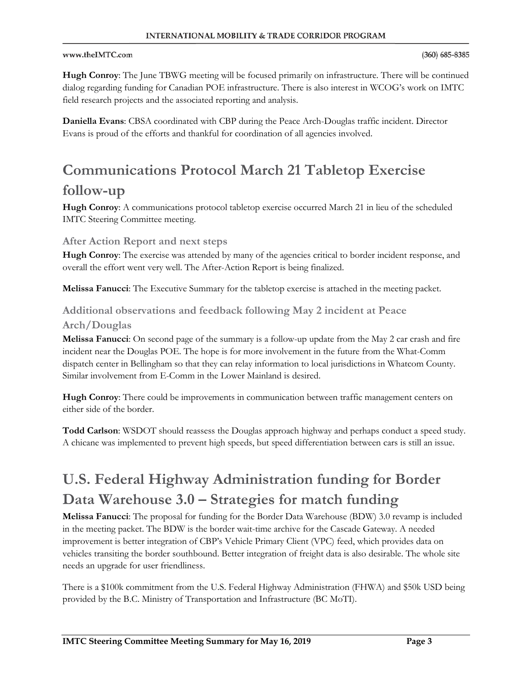### www.theIMTC.com

**Hugh Conroy**: The June TBWG meeting will be focused primarily on infrastructure. There will be continued dialog regarding funding for Canadian POE infrastructure. There is also interest in WCOG's work on IMTC field research projects and the associated reporting and analysis.

**Daniella Evans**: CBSA coordinated with CBP during the Peace Arch-Douglas traffic incident. Director Evans is proud of the efforts and thankful for coordination of all agencies involved.

# **Communications Protocol March 21 Tabletop Exercise**

### **follow-up**

**Hugh Conroy**: A communications protocol tabletop exercise occurred March 21 in lieu of the scheduled IMTC Steering Committee meeting.

### **After Action Report and next steps**

**Hugh Conroy**: The exercise was attended by many of the agencies critical to border incident response, and overall the effort went very well. The After-Action Report is being finalized.

**Melissa Fanucci**: The Executive Summary for the tabletop exercise is attached in the meeting packet.

### **Additional observations and feedback following May 2 incident at Peace Arch/Douglas**

**Melissa Fanucci**: On second page of the summary is a follow-up update from the May 2 car crash and fire incident near the Douglas POE. The hope is for more involvement in the future from the What-Comm dispatch center in Bellingham so that they can relay information to local jurisdictions in Whatcom County. Similar involvement from E-Comm in the Lower Mainland is desired.

**Hugh Conroy**: There could be improvements in communication between traffic management centers on either side of the border.

**Todd Carlson**: WSDOT should reassess the Douglas approach highway and perhaps conduct a speed study. A chicane was implemented to prevent high speeds, but speed differentiation between cars is still an issue.

# **U.S. Federal Highway Administration funding for Border Data Warehouse 3.0 – Strategies for match funding**

**Melissa Fanucci**: The proposal for funding for the Border Data Warehouse (BDW) 3.0 revamp is included in the meeting packet. The BDW is the border wait-time archive for the Cascade Gateway. A needed improvement is better integration of CBP's Vehicle Primary Client (VPC) feed, which provides data on vehicles transiting the border southbound. Better integration of freight data is also desirable. The whole site needs an upgrade for user friendliness.

There is a \$100k commitment from the U.S. Federal Highway Administration (FHWA) and \$50k USD being provided by the B.C. Ministry of Transportation and Infrastructure (BC MoTI).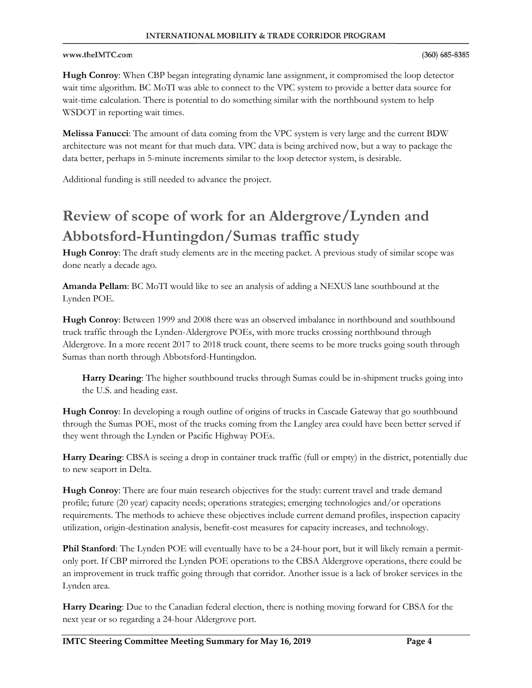#### **INTERNATIONAL MOBILITY & TRADE CORRIDOR PROGRAM**

#### www.theIMTC.com

**Hugh Conroy**: When CBP began integrating dynamic lane assignment, it compromised the loop detector wait time algorithm. BC MoTI was able to connect to the VPC system to provide a better data source for wait-time calculation. There is potential to do something similar with the northbound system to help WSDOT in reporting wait times.

**Melissa Fanucci**: The amount of data coming from the VPC system is very large and the current BDW architecture was not meant for that much data. VPC data is being archived now, but a way to package the data better, perhaps in 5-minute increments similar to the loop detector system, is desirable.

Additional funding is still needed to advance the project.

# **Review of scope of work for an Aldergrove/Lynden and Abbotsford-Huntingdon/Sumas traffic study**

**Hugh Conroy**: The draft study elements are in the meeting packet. A previous study of similar scope was done nearly a decade ago.

**Amanda Pellam**: BC MoTI would like to see an analysis of adding a NEXUS lane southbound at the Lynden POE.

**Hugh Conroy**: Between 1999 and 2008 there was an observed imbalance in northbound and southbound truck traffic through the Lynden-Aldergrove POEs, with more trucks crossing northbound through Aldergrove. In a more recent 2017 to 2018 truck count, there seems to be more trucks going south through Sumas than north through Abbotsford-Huntingdon.

**Harry Dearing**: The higher southbound trucks through Sumas could be in-shipment trucks going into the U.S. and heading east.

**Hugh Conroy**: In developing a rough outline of origins of trucks in Cascade Gateway that go southbound through the Sumas POE, most of the trucks coming from the Langley area could have been better served if they went through the Lynden or Pacific Highway POEs.

**Harry Dearing**: CBSA is seeing a drop in container truck traffic (full or empty) in the district, potentially due to new seaport in Delta.

**Hugh Conroy**: There are four main research objectives for the study: current travel and trade demand profile; future (20 year) capacity needs; operations strategies; emerging technologies and/or operations requirements. The methods to achieve these objectives include current demand profiles, inspection capacity utilization, origin-destination analysis, benefit-cost measures for capacity increases, and technology.

**Phil Stanford**: The Lynden POE will eventually have to be a 24-hour port, but it will likely remain a permitonly port. If CBP mirrored the Lynden POE operations to the CBSA Aldergrove operations, there could be an improvement in truck traffic going through that corridor. Another issue is a lack of broker services in the Lynden area.

**Harry Dearing**: Due to the Canadian federal election, there is nothing moving forward for CBSA for the next year or so regarding a 24-hour Aldergrove port.